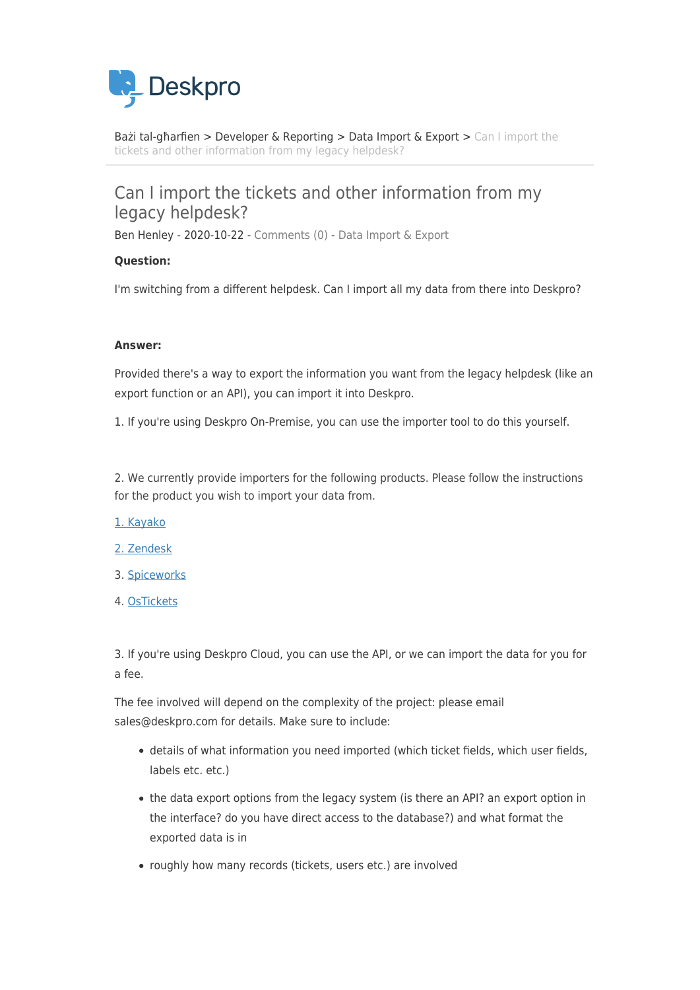

[Bażi tal-għarfien](https://support.deskpro.com/mt-MT/kb) > [Developer & Reporting](https://support.deskpro.com/mt-MT/kb/developer-reporting) > [Data Import & Export](https://support.deskpro.com/mt-MT/kb/data-import-export) > [Can I import the](https://support.deskpro.com/mt-MT/kb/articles/can-i-import-the-tickets-and-other-information-from-my-legacy-helpdesk) [tickets and other information from my legacy helpdesk?](https://support.deskpro.com/mt-MT/kb/articles/can-i-import-the-tickets-and-other-information-from-my-legacy-helpdesk)

## Can I import the tickets and other information from my legacy helpdesk?

Ben Henley - 2020-10-22 - [Comments \(0\)](#page--1-0) - [Data Import & Export](https://support.deskpro.com/mt-MT/kb/data-import-export)

## **Question:**

I'm switching from a different helpdesk. Can I import all my data from there into Deskpro?

## **Answer:**

Provided there's a way to export the information you want from the legacy helpdesk (like an export function or an API), you can import it into Deskpro.

1. If you're using Deskpro On-Premise, you can use the importer tool to do this yourself.

2. We currently provide importers for the following products. Please follow the instructions for the product you wish to import your data from.

- [1. Kayako](https://support.deskpro.com/en/guides/admin-guide/importing-data/helpdesk-data-importer-kayako)
- [2. Zendesk](https://support.deskpro.com/en/guides/admin-guide/importing-data/helpdesk-data-importer-zendesk)
- 3. [Spiceworks](https://support.deskpro.com/en-GB/guides/sysadmin-guide/importing-data-on-prem/spiceworks-importer)
- 4. [OsTickets](https://support.deskpro.com/en-GB/guides/sysadmin-guide/importing-data-on-prem/osticket-importer)

3. If you're using Deskpro Cloud, you can use the API, or we can import the data for you for a fee.

The fee involved will depend on the complexity of the project: please email sales@deskpro.com for details. Make sure to include:

- details of what information you need imported (which ticket fields, which user fields, labels etc. etc.)
- the data export options from the legacy system (is there an API? an export option in the interface? do you have direct access to the database?) and what format the exported data is in
- roughly how many records (tickets, users etc.) are involved